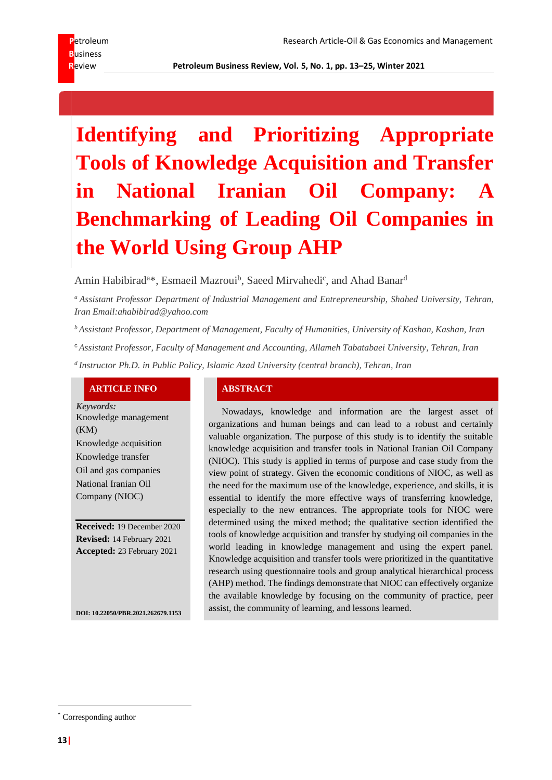# **B**usiness

## **Identifying and Prioritizing Appropriate Tools of Knowledge Acquisition and Transfer**  in National Iranian Oil Company: **Benchmarking of Leading Oil Companies in the World Using Group AHP**

Amin Habibirad<sup>a\*</sup>, Esmaeil Mazroui<sup>b</sup>, Saeed Mirvahedi<sup>c</sup>, and Ahad Banar<sup>d</sup>

*<sup>a</sup> Assistant Professor Department of Industrial Management and Entrepreneurship, Shahed University, Tehran, Iran Email:ahabibirad@yahoo.com*

*<sup>b</sup> Assistant Professor, Department of Management, Faculty of Humanities, University of Kashan, Kashan, Iran*

<sup>c</sup> *Assistant Professor, Faculty of Management and Accounting, Allameh Tabatabaei University, Tehran, Iran*

*d Instructor Ph.D. in Public Policy, Islamic Azad University (central branch), Tehran, Iran*

#### **ARTICLE INFO ABSTRACT**

*Keywords:* Knowledge management (KM) Knowledge acquisition Knowledge transfer Oil and gas companies National Iranian Oil Company (NIOC)

**Received:** 19 December 2020 **Revised:** 14 February 2021 **Accepted:** 23 February 2021

Nowadays, knowledge and information are the largest asset of organizations and human beings and can lead to a robust and certainly valuable organization. The purpose of this study is to identify the suitable knowledge acquisition and transfer tools in National Iranian Oil Company (NIOC). This study is applied in terms of purpose and case study from the view point of strategy. Given the economic conditions of NIOC, as well as the need for the maximum use of the knowledge, experience, and skills, it is essential to identify the more effective ways of transferring knowledge, especially to the new entrances. The appropriate tools for NIOC were determined using the mixed method; the qualitative section identified the tools of knowledge acquisition and transfer by studying oil companies in the world leading in knowledge management and using the expert panel. Knowledge acquisition and transfer tools were prioritized in the quantitative research using questionnaire tools and group analytical hierarchical process (AHP) method. The findings demonstrate that NIOC can effectively organize the available knowledge by focusing on the community of practice, peer assist, the community of learning, and lessons learned.

**DOI: 10.22050/PBR.2021.262679.1153**

<sup>\*</sup> Corresponding author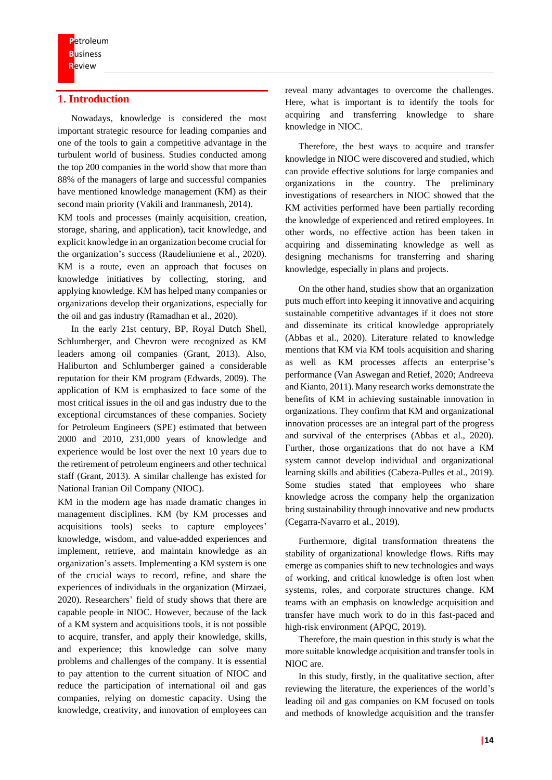#### **1. Introduction**

Nowadays, knowledge is considered the most important strategic resource for leading companies and one of the tools to gain a competitive advantage in the turbulent world of business. Studies conducted among the top 200 companies in the world show that more than 88% of the managers of large and successful companies have mentioned knowledge management (KM) as their second main priority (Vakili and Iranmanesh, 2014).

KM tools and processes (mainly acquisition, creation, storage, sharing, and application), tacit knowledge, and explicit knowledge in an organization become crucial for the organization's success (Raudeliuniene et al., 2020). KM is a route, even an approach that focuses on knowledge initiatives by collecting, storing, and applying knowledge. KM has helped many companies or organizations develop their organizations, especially for the oil and gas industry (Ramadhan et al., 2020).

In the early 21st century, BP, Royal Dutch Shell, Schlumberger, and Chevron were recognized as KM leaders among oil companies (Grant, 2013). Also, Haliburton and Schlumberger gained a considerable reputation for their KM program (Edwards, 2009). The application of KM is emphasized to face some of the most critical issues in the oil and gas industry due to the exceptional circumstances of these companies. Society for Petroleum Engineers (SPE) estimated that between 2000 and 2010, 231,000 years of knowledge and experience would be lost over the next 10 years due to the retirement of petroleum engineers and other technical staff (Grant, 2013). A similar challenge has existed for National Iranian Oil Company (NIOC).

KM in the modern age has made dramatic changes in management disciplines. KM (by KM processes and acquisitions tools) seeks to capture employees' knowledge, wisdom, and value-added experiences and implement, retrieve, and maintain knowledge as an organization's assets. Implementing a KM system is one of the crucial ways to record, refine, and share the experiences of individuals in the organization (Mirzaei, 2020). Researchers' field of study shows that there are capable people in NIOC. However, because of the lack of a KM system and acquisitions tools, it is not possible to acquire, transfer, and apply their knowledge, skills, and experience; this knowledge can solve many problems and challenges of the company. It is essential to pay attention to the current situation of NIOC and reduce the participation of international oil and gas companies, relying on domestic capacity. Using the knowledge, creativity, and innovation of employees can

reveal many advantages to overcome the challenges. Here, what is important is to identify the tools for acquiring and transferring knowledge to share knowledge in NIOC.

Therefore, the best ways to acquire and transfer knowledge in NIOC were discovered and studied, which can provide effective solutions for large companies and organizations in the country. The preliminary investigations of researchers in NIOC showed that the KM activities performed have been partially recording the knowledge of experienced and retired employees. In other words, no effective action has been taken in acquiring and disseminating knowledge as well as designing mechanisms for transferring and sharing knowledge, especially in plans and projects.

On the other hand, studies show that an organization puts much effort into keeping it innovative and acquiring sustainable competitive advantages if it does not store and disseminate its critical knowledge appropriately (Abbas et al., 2020). Literature related to knowledge mentions that KM via KM tools acquisition and sharing as well as KM processes affects an enterprise's performance (Van Aswegan and Retief, 2020; Andreeva and Kianto, 2011). Many research works demonstrate the benefits of KM in achieving sustainable innovation in organizations. They confirm that KM and organizational innovation processes are an integral part of the progress and survival of the enterprises (Abbas et al., 2020). Further, those organizations that do not have a KM system cannot develop individual and organizational learning skills and abilities (Cabeza-Pulles et al., 2019). Some studies stated that employees who share knowledge across the company help the organization bring sustainability through innovative and new products (Cegarra-Navarro et al., 2019).

Furthermore, digital transformation threatens the stability of organizational knowledge flows. Rifts may emerge as companies shift to new technologies and ways of working, and critical knowledge is often lost when systems, roles, and corporate structures change. KM teams with an emphasis on knowledge acquisition and transfer have much work to do in this fast-paced and high-risk environment (APQC, 2019).

Therefore, the main question in this study is what the more suitable knowledge acquisition and transfer tools in NIOC are.

In this study, firstly, in the qualitative section, after reviewing the literature, the experiences of the world's leading oil and gas companies on KM focused on tools and methods of knowledge acquisition and the transfer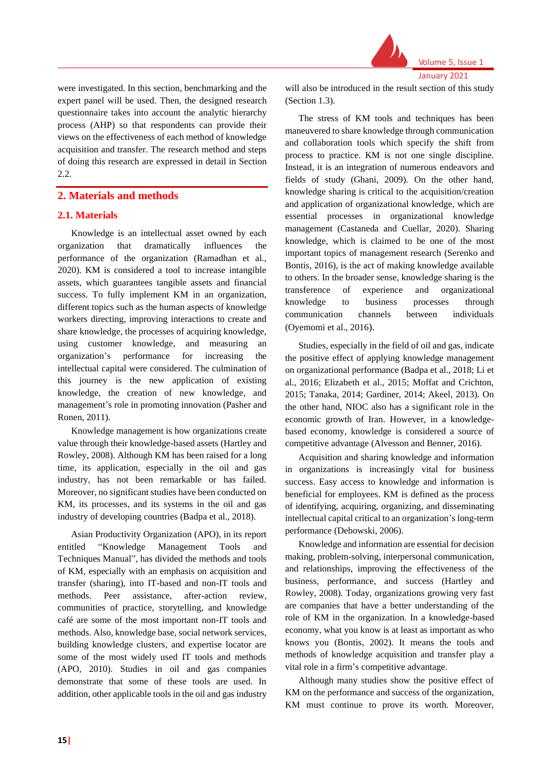

were investigated. In this section, benchmarking and the expert panel will be used. Then, the designed research questionnaire takes into account the analytic hierarchy process (AHP) so that respondents can provide their views on the effectiveness of each method of knowledge acquisition and transfer. The research method and steps of doing this research are expressed in detail in Section 2.2.

#### **2. Materials and methods**

#### **2.1. Materials**

Knowledge is an intellectual asset owned by each organization that dramatically influences the performance of the organization (Ramadhan et al., 2020). KM is considered a tool to increase intangible assets, which guarantees tangible assets and financial success. To fully implement KM in an organization, different topics such as the human aspects of knowledge workers directing, improving interactions to create and share knowledge, the processes of acquiring knowledge, using customer knowledge, and measuring an organization's performance for increasing the intellectual capital were considered. The culmination of this journey is the new application of existing knowledge, the creation of new knowledge, and management's role in promoting innovation (Pasher and Ronen, 2011).

Knowledge management is how organizations create value through their knowledge-based assets (Hartley and Rowley, 2008). Although KM has been raised for a long time, its application, especially in the oil and gas industry, has not been remarkable or has failed. Moreover, no significant studies have been conducted on KM, its processes, and its systems in the oil and gas industry of developing countries (Badpa et al., 2018).

Asian Productivity Organization (APO), in its report entitled "Knowledge Management Tools and Techniques Manual", has divided the methods and tools of KM, especially with an emphasis on acquisition and transfer (sharing), into IT-based and non-IT tools and methods. Peer assistance, after-action review, communities of practice, storytelling, and knowledge café are some of the most important non-IT tools and methods. Also, knowledge base, social network services, building knowledge clusters, and expertise locator are some of the most widely used IT tools and methods (APO, 2010). Studies in oil and gas companies demonstrate that some of these tools are used. In addition, other applicable tools in the oil and gas industry will also be introduced in the result section of this study (Section 1.3).

The stress of KM tools and techniques has been maneuvered to share knowledge through communication and collaboration tools which specify the shift from process to practice. KM is not one single discipline. Instead, it is an integration of numerous endeavors and fields of study (Ghani, 2009). On the other hand, knowledge sharing is critical to the acquisition/creation and application of organizational knowledge, which are essential processes in organizational knowledge management (Castaneda and Cuellar, 2020). Sharing knowledge, which is claimed to be one of the most important topics of management research (Serenko and Bontis, 2016), is the act of making knowledge available to others. In the broader sense, knowledge sharing is the transference of experience and organizational knowledge to business processes through communication channels between individuals (Oyemomi et al., 2016).

Studies, especially in the field of oil and gas, indicate the positive effect of applying knowledge management on organizational performance (Badpa et al., 2018; Li et al., 2016; Elizabeth et al., 2015; Moffat and Crichton, 2015; Tanaka, 2014; Gardiner, 2014; Akeel, 2013). On the other hand, NIOC also has a significant role in the economic growth of Iran. However, in a knowledgebased economy, knowledge is considered a source of competitive advantage (Alvesson and Benner, 2016).

Acquisition and sharing knowledge and information in organizations is increasingly vital for business success. Easy access to knowledge and information is beneficial for employees. KM is defined as the process of identifying, acquiring, organizing, and disseminating intellectual capital critical to an organization's long-term performance (Debowski, 2006).

Knowledge and information are essential for decision making, problem-solving, interpersonal communication, and relationships, improving the effectiveness of the business, performance, and success (Hartley and Rowley, 2008). Today, organizations growing very fast are companies that have a better understanding of the role of KM in the organization. In a knowledge-based economy, what you know is at least as important as who knows you (Bontis, 2002). It means the tools and methods of knowledge acquisition and transfer play a vital role in a firm's competitive advantage.

Although many studies show the positive effect of KM on the performance and success of the organization, KM must continue to prove its worth. Moreover,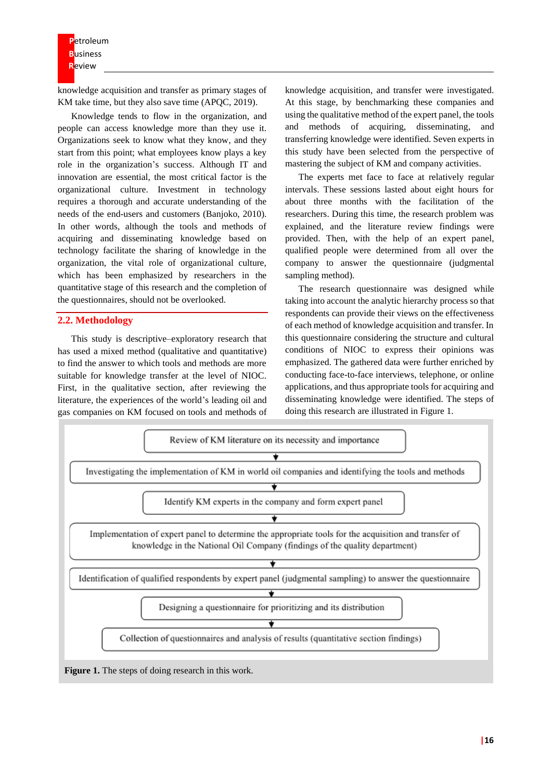**P**etroleum **B**usiness **R**eview

knowledge acquisition and transfer as primary stages of KM take time, but they also save time (APQC, 2019).

Knowledge tends to flow in the organization, and people can access knowledge more than they use it. Organizations seek to know what they know, and they start from this point; what employees know plays a key role in the organization's success. Although IT and innovation are essential, the most critical factor is the organizational culture. Investment in technology requires a thorough and accurate understanding of the needs of the end-users and customers (Banjoko, 2010). In other words, although the tools and methods of acquiring and disseminating knowledge based on technology facilitate the sharing of knowledge in the organization, the vital role of organizational culture, which has been emphasized by researchers in the quantitative stage of this research and the completion of the questionnaires, should not be overlooked.

#### **2.2. Methodology**

This study is descriptive–exploratory research that has used a mixed method (qualitative and quantitative) to find the answer to which tools and methods are more suitable for knowledge transfer at the level of NIOC. First, in the qualitative section, after reviewing the literature, the experiences of the world's leading oil and gas companies on KM focused on tools and methods of knowledge acquisition, and transfer were investigated. At this stage, by benchmarking these companies and using the qualitative method of the expert panel, the tools and methods of acquiring, disseminating, and transferring knowledge were identified. Seven experts in this study have been selected from the perspective of mastering the subject of KM and company activities.

The experts met face to face at relatively regular intervals. These sessions lasted about eight hours for about three months with the facilitation of the researchers. During this time, the research problem was explained, and the literature review findings were provided. Then, with the help of an expert panel, qualified people were determined from all over the company to answer the questionnaire (judgmental sampling method).

The research questionnaire was designed while taking into account the analytic hierarchy process so that respondents can provide their views on the effectiveness of each method of knowledge acquisition and transfer. In this questionnaire considering the structure and cultural conditions of NIOC to express their opinions was emphasized. The gathered data were further enriched by conducting face-to-face interviews, telephone, or online applications, and thus appropriate tools for acquiring and disseminating knowledge were identified. The steps of doing this research are illustrated in Figure 1.

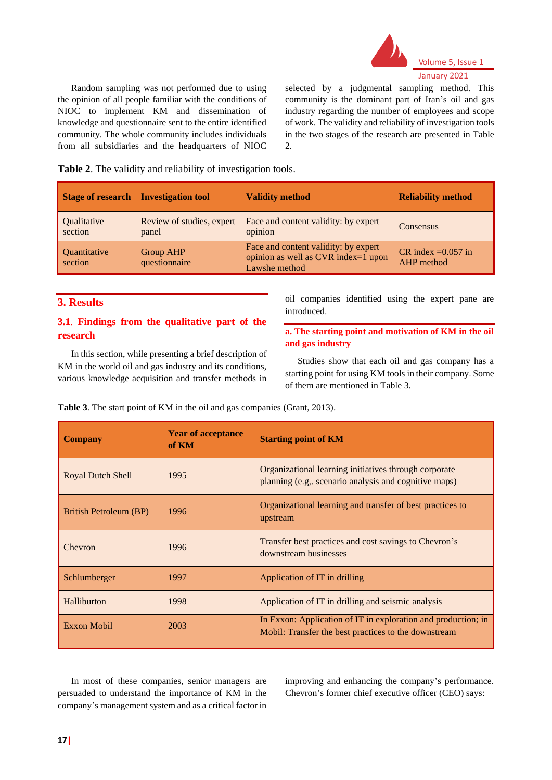

#### Volume 5, Issue 1

Random sampling was not performed due to using the opinion of all people familiar with the conditions of NIOC to implement KM and dissemination of knowledge and questionnaire sent to the entire identified community. The whole community includes individuals from all subsidiaries and the headquarters of NIOC selected by a judgmental sampling method. This community is the dominant part of Iran's oil and gas industry regarding the number of employees and scope of work. The validity and reliability of investigation tools in the two stages of the research are presented in Table 2.

**Table 2**. The validity and reliability of investigation tools.

| <b>Stage of research</b>       | <b>Investigation tool</b>          | <b>Validity method</b>                                                                       | <b>Reliability method</b>           |
|--------------------------------|------------------------------------|----------------------------------------------------------------------------------------------|-------------------------------------|
| Qualitative<br>section         | Review of studies, expert<br>panel | Face and content validity: by expert<br>opinion                                              | Consensus                           |
| <b>Quantitative</b><br>section | <b>Group AHP</b><br>questionnaire  | Face and content validity: by expert<br>opinion as well as CVR index=1 upon<br>Lawshe method | CR index = $0.057$ in<br>AHP method |

#### **3. Results**

#### **3.1**. **Findings from the qualitative part of the research**

In this section, while presenting a brief description of KM in the world oil and gas industry and its conditions, various knowledge acquisition and transfer methods in

oil companies identified using the expert pane are introduced.

#### **a. The starting point and motivation of KM in the oil and gas industry**

Studies show that each oil and gas company has a starting point for using KM tools in their company. Some of them are mentioned in Table 3.

**Table 3**. The start point of KM in the oil and gas companies (Grant, 2013).

| <b>Company</b>           | <b>Year of acceptance</b><br>of KM | <b>Starting point of KM</b>                                                                                           |  |
|--------------------------|------------------------------------|-----------------------------------------------------------------------------------------------------------------------|--|
| <b>Royal Dutch Shell</b> | 1995                               | Organizational learning initiatives through corporate<br>planning (e.g., scenario analysis and cognitive maps)        |  |
| British Petroleum (BP)   | 1996                               | Organizational learning and transfer of best practices to<br>upstream                                                 |  |
| Chevron                  | 1996                               | Transfer best practices and cost savings to Chevron's<br>downstream businesses                                        |  |
| Schlumberger             | 1997                               | Application of IT in drilling                                                                                         |  |
| Halliburton              | 1998                               | Application of IT in drilling and seismic analysis                                                                    |  |
| Exxon Mobil              | 2003                               | In Exxon: Application of IT in exploration and production; in<br>Mobil: Transfer the best practices to the downstream |  |

In most of these companies, senior managers are persuaded to understand the importance of KM in the company's management system and as a critical factor in improving and enhancing the company's performance. Chevron's former chief executive officer (CEO) says: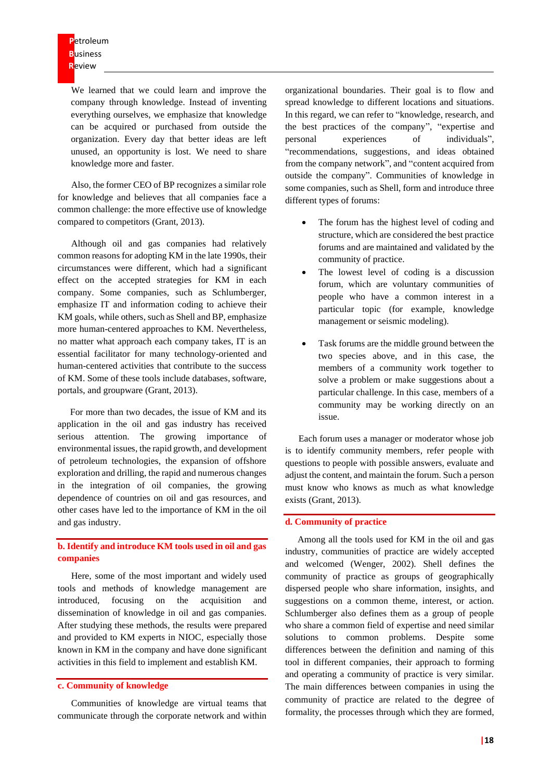We learned that we could learn and improve the company through knowledge. Instead of inventing everything ourselves, we emphasize that knowledge can be acquired or purchased from outside the organization. Every day that better ideas are left unused, an opportunity is lost. We need to share knowledge more and faster.

Also, the former CEO of BP recognizes a similar role for knowledge and believes that all companies face a common challenge: the more effective use of knowledge compared to competitors (Grant, 2013).

Although oil and gas companies had relatively common reasons for adopting KM in the late 1990s, their circumstances were different, which had a significant effect on the accepted strategies for KM in each company. Some companies, such as Schlumberger, emphasize IT and information coding to achieve their KM goals, while others, such as Shell and BP, emphasize more human-centered approaches to KM. Nevertheless, no matter what approach each company takes, IT is an essential facilitator for many technology-oriented and human-centered activities that contribute to the success of KM. Some of these tools include databases, software, portals, and groupware (Grant, 2013).

For more than two decades, the issue of KM and its application in the oil and gas industry has received serious attention. The growing importance of environmental issues, the rapid growth, and development of petroleum technologies, the expansion of offshore exploration and drilling, the rapid and numerous changes in the integration of oil companies, the growing dependence of countries on oil and gas resources, and other cases have led to the importance of KM in the oil and gas industry.

#### **b. Identify and introduce KM tools used in oil and gas companies**

Here, some of the most important and widely used tools and methods of knowledge management are introduced, focusing on the acquisition and dissemination of knowledge in oil and gas companies. After studying these methods, the results were prepared and provided to KM experts in NIOC, especially those known in KM in the company and have done significant activities in this field to implement and establish KM.

#### **c. Community of knowledge**

Communities of knowledge are virtual teams that communicate through the corporate network and within

organizational boundaries. Their goal is to flow and spread knowledge to different locations and situations. In this regard, we can refer to "knowledge, research, and the best practices of the company", "expertise and personal experiences of individuals", "recommendations, suggestions, and ideas obtained from the company network", and "content acquired from outside the company". Communities of knowledge in some companies, such as Shell, form and introduce three different types of forums:

- The forum has the highest level of coding and structure, which are considered the best practice forums and are maintained and validated by the community of practice.
- The lowest level of coding is a discussion forum, which are voluntary communities of people who have a common interest in a particular topic (for example, knowledge management or seismic modeling).
- Task forums are the middle ground between the two species above, and in this case, the members of a community work together to solve a problem or make suggestions about a particular challenge. In this case, members of a community may be working directly on an issue.

Each forum uses a manager or moderator whose job is to identify community members, refer people with questions to people with possible answers, evaluate and adjust the content, and maintain the forum. Such a person must know who knows as much as what knowledge exists (Grant, 2013).

#### **d. Community of practice**

Among all the tools used for KM in the oil and gas industry, communities of practice are widely accepted and welcomed (Wenger, 2002). Shell defines the community of practice as groups of geographically dispersed people who share information, insights, and suggestions on a common theme, interest, or action. Schlumberger also defines them as a group of people who share a common field of expertise and need similar solutions to common problems. Despite some differences between the definition and naming of this tool in different companies, their approach to forming and operating a community of practice is very similar. The main differences between companies in using the community of practice are related to the degree of formality, the processes through which they are formed,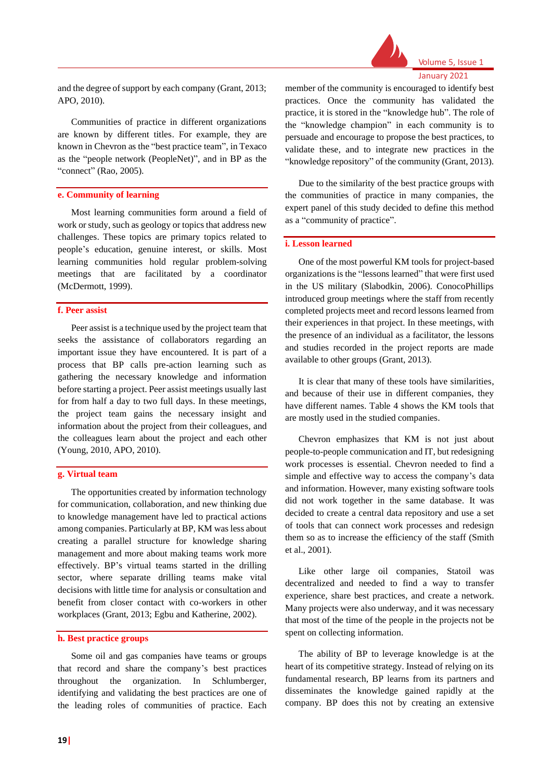

and the degree of support by each company (Grant, 2013; APO, 2010).

Communities of practice in different organizations are known by different titles. For example, they are known in Chevron as the "best practice team", in Texaco as the "people network (PeopleNet)", and in BP as the "connect" (Rao, 2005).

#### **e. Community of learning**

Most learning communities form around a field of work or study, such as geology or topics that address new challenges. These topics are primary topics related to people's education, genuine interest, or skills. Most learning communities hold regular problem-solving meetings that are facilitated by a coordinator (McDermott, 1999).

#### **f. Peer assist**

Peer assist is a technique used by the project team that seeks the assistance of collaborators regarding an important issue they have encountered. It is part of a process that BP calls pre-action learning such as gathering the necessary knowledge and information before starting a project. Peer assist meetings usually last for from half a day to two full days. In these meetings, the project team gains the necessary insight and information about the project from their colleagues, and the colleagues learn about the project and each other (Young, 2010, APO, 2010).

#### **g. Virtual team**

The opportunities created by information technology for communication, collaboration, and new thinking due to knowledge management have led to practical actions among companies. Particularly at BP, KM was less about creating a parallel structure for knowledge sharing management and more about making teams work more effectively. BP's virtual teams started in the drilling sector, where separate drilling teams make vital decisions with little time for analysis or consultation and benefit from closer contact with co-workers in other workplaces (Grant, 2013; Egbu and Katherine, 2002).

#### **h. Best practice groups**

Some oil and gas companies have teams or groups that record and share the company's best practices throughout the organization. In Schlumberger, identifying and validating the best practices are one of the leading roles of communities of practice. Each

member of the community is encouraged to identify best practices. Once the community has validated the practice, it is stored in the "knowledge hub". The role of the "knowledge champion" in each community is to persuade and encourage to propose the best practices, to validate these, and to integrate new practices in the "knowledge repository" of the community (Grant, 2013).

Due to the similarity of the best practice groups with the communities of practice in many companies, the expert panel of this study decided to define this method as a "community of practice".

#### **i. Lesson learned**

One of the most powerful KM tools for project-based organizations is the "lessons learned" that were first used in the US military (Slabodkin, 2006). ConocoPhillips introduced group meetings where the staff from recently completed projects meet and record lessons learned from their experiences in that project. In these meetings, with the presence of an individual as a facilitator, the lessons and studies recorded in the project reports are made available to other groups (Grant, 2013).

It is clear that many of these tools have similarities, and because of their use in different companies, they have different names. Table 4 shows the KM tools that are mostly used in the studied companies.

Chevron emphasizes that KM is not just about people-to-people communication and IT, but redesigning work processes is essential. Chevron needed to find a simple and effective way to access the company's data and information. However, many existing software tools did not work together in the same database. It was decided to create a central data repository and use a set of tools that can connect work processes and redesign them so as to increase the efficiency of the staff (Smith et al., 2001).

Like other large oil companies, Statoil was decentralized and needed to find a way to transfer experience, share best practices, and create a network. Many projects were also underway, and it was necessary that most of the time of the people in the projects not be spent on collecting information.

The ability of BP to leverage knowledge is at the heart of its competitive strategy. Instead of relying on its fundamental research, BP learns from its partners and disseminates the knowledge gained rapidly at the company. BP does this not by creating an extensive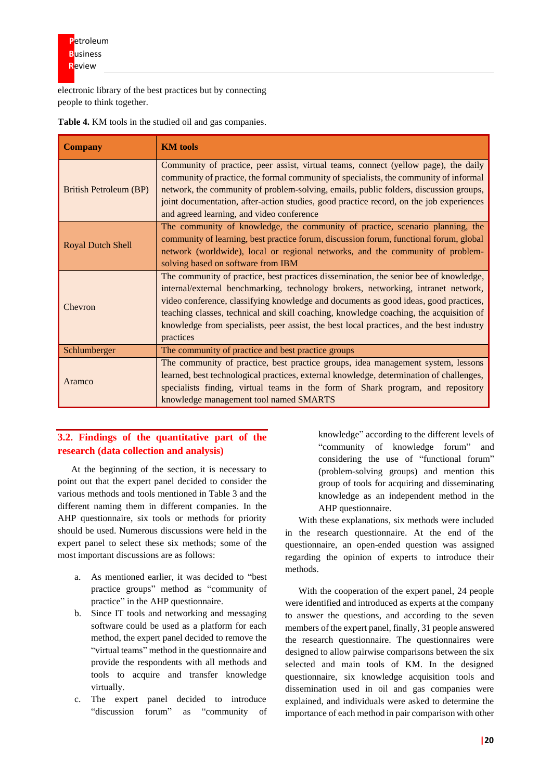electronic library of the best practices but by connecting people to think together.

| <b>Company</b>                | <b>KM</b> tools                                                                                                                                                                                                                                                                                                                                                                                                                                                       |  |
|-------------------------------|-----------------------------------------------------------------------------------------------------------------------------------------------------------------------------------------------------------------------------------------------------------------------------------------------------------------------------------------------------------------------------------------------------------------------------------------------------------------------|--|
| <b>British Petroleum (BP)</b> | Community of practice, peer assist, virtual teams, connect (yellow page), the daily<br>community of practice, the formal community of specialists, the community of informal<br>network, the community of problem-solving, emails, public folders, discussion groups,<br>joint documentation, after-action studies, good practice record, on the job experiences<br>and agreed learning, and video conference                                                         |  |
| <b>Royal Dutch Shell</b>      | The community of knowledge, the community of practice, scenario planning, the<br>community of learning, best practice forum, discussion forum, functional forum, global<br>network (worldwide), local or regional networks, and the community of problem-<br>solving based on software from IBM                                                                                                                                                                       |  |
| Chevron                       | The community of practice, best practices dissemination, the senior bee of knowledge,<br>internal/external benchmarking, technology brokers, networking, intranet network,<br>video conference, classifying knowledge and documents as good ideas, good practices,<br>teaching classes, technical and skill coaching, knowledge coaching, the acquisition of<br>knowledge from specialists, peer assist, the best local practices, and the best industry<br>practices |  |
| Schlumberger                  | The community of practice and best practice groups                                                                                                                                                                                                                                                                                                                                                                                                                    |  |
| Aramco                        | The community of practice, best practice groups, idea management system, lessons<br>learned, best technological practices, external knowledge, determination of challenges,<br>specialists finding, virtual teams in the form of Shark program, and repository<br>knowledge management tool named SMARTS                                                                                                                                                              |  |

**Table 4.** KM tools in the studied oil and gas companies.

### **3.2. Findings of the quantitative part of the research (data collection and analysis)**

At the beginning of the section, it is necessary to point out that the expert panel decided to consider the various methods and tools mentioned in Table 3 and the different naming them in different companies. In the AHP questionnaire, six tools or methods for priority should be used. Numerous discussions were held in the expert panel to select these six methods; some of the most important discussions are as follows:

- a. As mentioned earlier, it was decided to "best practice groups" method as "community of practice" in the AHP questionnaire.
- b. Since IT tools and networking and messaging software could be used as a platform for each method, the expert panel decided to remove the "virtual teams" method in the questionnaire and provide the respondents with all methods and tools to acquire and transfer knowledge virtually.
- c. The expert panel decided to introduce "discussion forum" as "community of

knowledge" according to the different levels of "community of knowledge forum" and considering the use of "functional forum" (problem-solving groups) and mention this group of tools for acquiring and disseminating knowledge as an independent method in the AHP questionnaire.

With these explanations, six methods were included in the research questionnaire. At the end of the questionnaire, an open-ended question was assigned regarding the opinion of experts to introduce their methods.

With the cooperation of the expert panel, 24 people were identified and introduced as experts at the company to answer the questions, and according to the seven members of the expert panel, finally, 31 people answered the research questionnaire. The questionnaires were designed to allow pairwise comparisons between the six selected and main tools of KM. In the designed questionnaire, six knowledge acquisition tools and dissemination used in oil and gas companies were explained, and individuals were asked to determine the importance of each method in pair comparison with other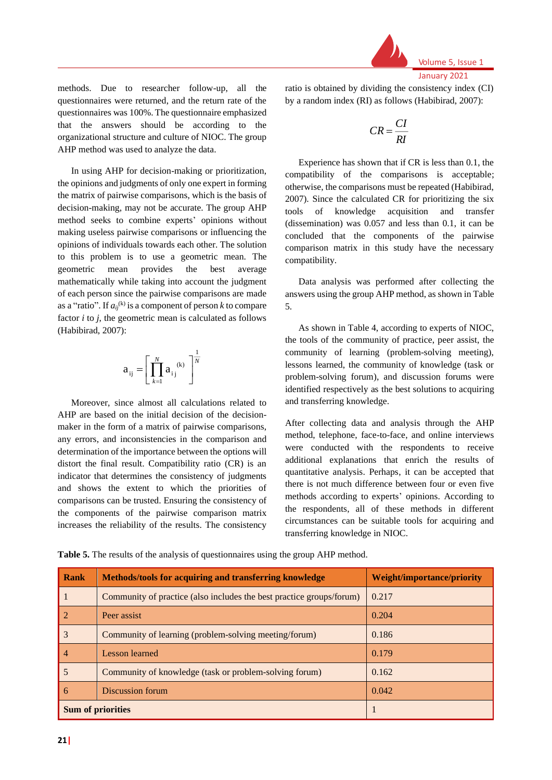

Volume 5, Issue 1 January 2021

methods. Due to researcher follow-up, all the questionnaires were returned, and the return rate of the questionnaires was 100%. The questionnaire emphasized that the answers should be according to the organizational structure and culture of NIOC. The group AHP method was used to analyze the data.

In using AHP for decision-making or prioritization, the opinions and judgments of only one expert in forming the matrix of pairwise comparisons, which is the basis of decision-making, may not be accurate. The group AHP method seeks to combine experts' opinions without making useless pairwise comparisons or influencing the opinions of individuals towards each other. The solution to this problem is to use a geometric mean. The geometric mean provides the best average mathematically while taking into account the judgment of each person since the pairwise comparisons are made as a "ratio". If  $a_{ij}^{(k)}$  is a component of person *k* to compare factor *i* to *j*, the geometric mean is calculated as follows (Habibirad, 2007):

$$
a_{ij} = \left[ \prod_{k=1}^{N} a_{ij}^{(k)} \right]^{\frac{1}{N}}
$$

Moreover, since almost all calculations related to AHP are based on the initial decision of the decisionmaker in the form of a matrix of pairwise comparisons, any errors, and inconsistencies in the comparison and determination of the importance between the options will distort the final result. Compatibility ratio (CR) is an indicator that determines the consistency of judgments and shows the extent to which the priorities of comparisons can be trusted. Ensuring the consistency of the components of the pairwise comparison matrix increases the reliability of the results. The consistency

ratio is obtained by dividing the consistency index (CI) by a random index (RI) as follows (Habibirad, 2007):

$$
CR = \frac{CI}{RI}
$$

Experience has shown that if CR is less than 0.1, the compatibility of the comparisons is acceptable; otherwise, the comparisons must be repeated (Habibirad, 2007). Since the calculated CR for prioritizing the six tools of knowledge acquisition and transfer (dissemination) was 0.057 and less than 0.1, it can be concluded that the components of the pairwise comparison matrix in this study have the necessary compatibility.

Data analysis was performed after collecting the answers using the group AHP method, as shown in Table 5.

As shown in Table 4, according to experts of NIOC, the tools of the community of practice, peer assist, the community of learning (problem-solving meeting), lessons learned, the community of knowledge (task or problem-solving forum), and discussion forums were identified respectively as the best solutions to acquiring and transferring knowledge.

After collecting data and analysis through the AHP method, telephone, face-to-face, and online interviews were conducted with the respondents to receive additional explanations that enrich the results of quantitative analysis. Perhaps, it can be accepted that there is not much difference between four or even five methods according to experts' opinions. According to the respondents, all of these methods in different circumstances can be suitable tools for acquiring and transferring knowledge in NIOC.

**Table 5.** The results of the analysis of questionnaires using the group AHP method.

| Rank                     | Methods/tools for acquiring and transferring knowledge               | <b>Weight/importance/priority</b> |
|--------------------------|----------------------------------------------------------------------|-----------------------------------|
| -1                       | Community of practice (also includes the best practice groups/forum) | 0.217                             |
| $\overline{2}$           | Peer assist                                                          | 0.204                             |
| 3                        | Community of learning (problem-solving meeting/forum)                | 0.186                             |
| $\overline{4}$           | Lesson learned                                                       | 0.179                             |
| 5                        | Community of knowledge (task or problem-solving forum)               | 0.162                             |
| -6                       | Discussion forum                                                     | 0.042                             |
| <b>Sum of priorities</b> |                                                                      |                                   |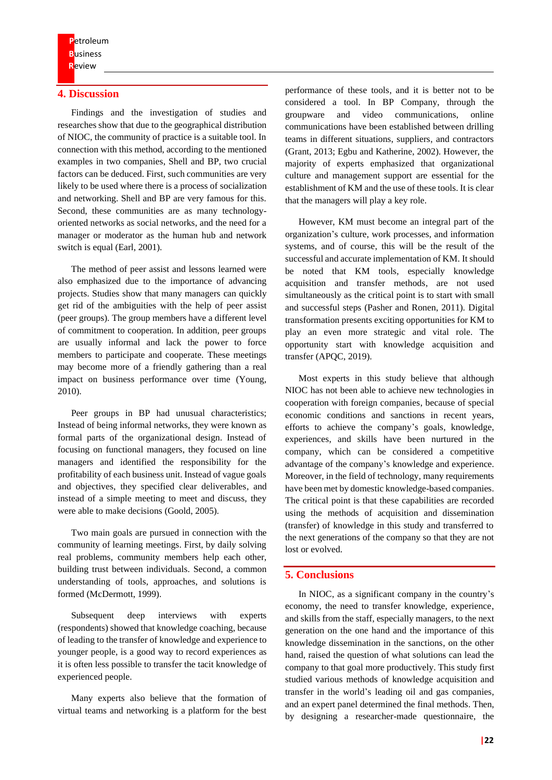#### **4. Discussion**

Findings and the investigation of studies and researches show that due to the geographical distribution of NIOC, the community of practice is a suitable tool. In connection with this method, according to the mentioned examples in two companies, Shell and BP, two crucial factors can be deduced. First, such communities are very likely to be used where there is a process of socialization and networking. Shell and BP are very famous for this. Second, these communities are as many technologyoriented networks as social networks, and the need for a manager or moderator as the human hub and network switch is equal (Earl, 2001).

The method of peer assist and lessons learned were also emphasized due to the importance of advancing projects. Studies show that many managers can quickly get rid of the ambiguities with the help of peer assist (peer groups). The group members have a different level of commitment to cooperation. In addition, peer groups are usually informal and lack the power to force members to participate and cooperate. These meetings may become more of a friendly gathering than a real impact on business performance over time (Young, 2010).

Peer groups in BP had unusual characteristics; Instead of being informal networks, they were known as formal parts of the organizational design. Instead of focusing on functional managers, they focused on line managers and identified the responsibility for the profitability of each business unit. Instead of vague goals and objectives, they specified clear deliverables, and instead of a simple meeting to meet and discuss, they were able to make decisions (Goold, 2005).

Two main goals are pursued in connection with the community of learning meetings. First, by daily solving real problems, community members help each other, building trust between individuals. Second, a common understanding of tools, approaches, and solutions is formed (McDermott, 1999).

Subsequent deep interviews with experts (respondents) showed that knowledge coaching, because of leading to the transfer of knowledge and experience to younger people, is a good way to record experiences as it is often less possible to transfer the tacit knowledge of experienced people.

Many experts also believe that the formation of virtual teams and networking is a platform for the best

performance of these tools, and it is better not to be considered a tool. In BP Company, through the groupware and video communications, online communications have been established between drilling teams in different situations, suppliers, and contractors (Grant, 2013; Egbu and Katherine, 2002). However, the majority of experts emphasized that organizational culture and management support are essential for the establishment of KM and the use of these tools. It is clear that the managers will play a key role.

However, KM must become an integral part of the organization's culture, work processes, and information systems, and of course, this will be the result of the successful and accurate implementation of KM. It should be noted that KM tools, especially knowledge acquisition and transfer methods, are not used simultaneously as the critical point is to start with small and successful steps (Pasher and Ronen, 2011). Digital transformation presents exciting opportunities for KM to play an even more strategic and vital role. The opportunity start with knowledge acquisition and transfer (APQC, 2019).

Most experts in this study believe that although NIOC has not been able to achieve new technologies in cooperation with foreign companies, because of special economic conditions and sanctions in recent years, efforts to achieve the company's goals, knowledge, experiences, and skills have been nurtured in the company, which can be considered a competitive advantage of the company's knowledge and experience. Moreover, in the field of technology, many requirements have been met by domestic knowledge-based companies. The critical point is that these capabilities are recorded using the methods of acquisition and dissemination (transfer) of knowledge in this study and transferred to the next generations of the company so that they are not lost or evolved.

#### **5. Conclusions**

In NIOC, as a significant company in the country's economy, the need to transfer knowledge, experience, and skills from the staff, especially managers, to the next generation on the one hand and the importance of this knowledge dissemination in the sanctions, on the other hand, raised the question of what solutions can lead the company to that goal more productively. This study first studied various methods of knowledge acquisition and transfer in the world's leading oil and gas companies, and an expert panel determined the final methods. Then, by designing a researcher-made questionnaire, the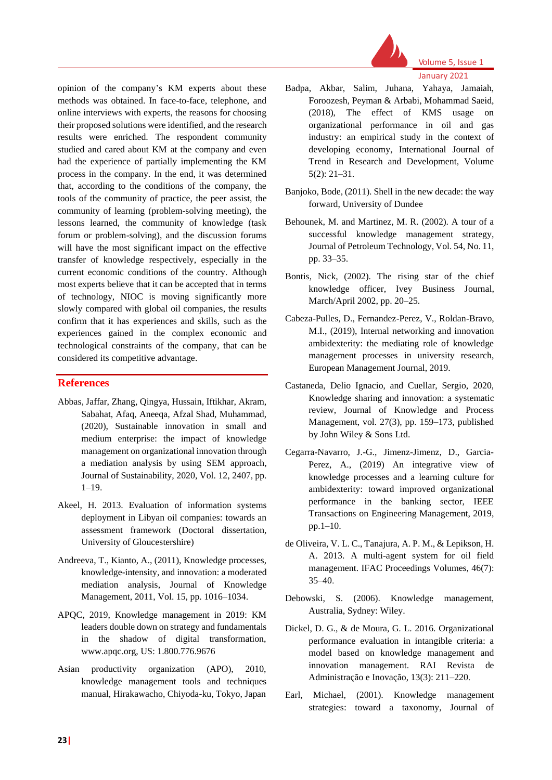

Volume 5, Issue 1 January 2021

opinion of the company's KM experts about these methods was obtained. In face-to-face, telephone, and online interviews with experts, the reasons for choosing their proposed solutions were identified, and the research results were enriched. The respondent community studied and cared about KM at the company and even had the experience of partially implementing the KM process in the company. In the end, it was determined that, according to the conditions of the company, the tools of the community of practice, the peer assist, the community of learning (problem-solving meeting), the lessons learned, the community of knowledge (task forum or problem-solving), and the discussion forums will have the most significant impact on the effective transfer of knowledge respectively, especially in the current economic conditions of the country. Although most experts believe that it can be accepted that in terms of technology, NIOC is moving significantly more slowly compared with global oil companies, the results confirm that it has experiences and skills, such as the experiences gained in the complex economic and technological constraints of the company, that can be considered its competitive advantage.

#### **References**

- Abbas, Jaffar, Zhang, Qingya, Hussain, Iftikhar, Akram, Sabahat, Afaq, Aneeqa, Afzal Shad, Muhammad, (2020), Sustainable innovation in small and medium enterprise: the impact of knowledge management on organizational innovation through a mediation analysis by using SEM approach, Journal of Sustainability, 2020, Vol. 12, 2407, pp.  $1-19.$
- Akeel, H. 2013. Evaluation of information systems deployment in Libyan oil companies: towards an assessment framework (Doctoral dissertation, University of Gloucestershire)
- Andreeva, T., Kianto, A., (2011), Knowledge processes, knowledge-intensity, and innovation: a moderated mediation analysis, Journal of Knowledge Management, 2011, Vol. 15, pp. 1016–1034.
- APQC, 2019, Knowledge management in 2019: KM leaders double down on strategy and fundamentals in the shadow of digital transformation, www.apqc.org, US: 1.800.776.9676
- Asian productivity organization (APO), 2010, knowledge management tools and techniques manual, Hirakawacho, Chiyoda-ku, Tokyo, Japan
- Badpa, Akbar, Salim, Juhana, Yahaya, Jamaiah, Foroozesh, Peyman & Arbabi, Mohammad Saeid, (2018), The effect of KMS usage on organizational performance in oil and gas industry: an empirical study in the context of developing economy, International Journal of Trend in Research and Development, Volume 5(2): 21–31.
- Banjoko, Bode, (2011). Shell in the new decade: the way forward, University of Dundee
- Behounek, M. and Martinez, M. R. (2002). A tour of a successful knowledge management strategy, Journal of Petroleum Technology, Vol. 54, No. 11, pp. 33–35.
- Bontis, Nick, (2002). The rising star of the chief knowledge officer, Ivey Business Journal, March/April 2002, pp. 20–25.
- Cabeza-Pulles, D., Fernandez-Perez, V., Roldan-Bravo, M.I., (2019), Internal networking and innovation ambidexterity: the mediating role of knowledge management processes in university research, European Management Journal, 2019.
- Castaneda, Delio Ignacio, and Cuellar, Sergio, 2020, Knowledge sharing and innovation: a systematic review, Journal of Knowledge and Process Management, vol. 27(3), pp. 159–173, published by John Wiley & Sons Ltd.
- Cegarra-Navarro, J.-G., Jimenz-Jimenz, D., Garcia-Perez, A., (2019) An integrative view of knowledge processes and a learning culture for ambidexterity: toward improved organizational performance in the banking sector, IEEE Transactions on Engineering Management, 2019, pp.1–10.
- de Oliveira, V. L. C., Tanajura, A. P. M., & Lepikson, H. A. 2013. A multi-agent system for oil field management. IFAC Proceedings Volumes, 46(7): 35–40.
- Debowski, S. (2006). Knowledge management, Australia, Sydney: Wiley.
- Dickel, D. G., & de Moura, G. L. 2016. Organizational performance evaluation in intangible criteria: a model based on knowledge management and innovation management. RAI Revista de Administração e Inovação, 13(3): 211–220.
- Earl, Michael, (2001). Knowledge management strategies: toward a taxonomy, Journal of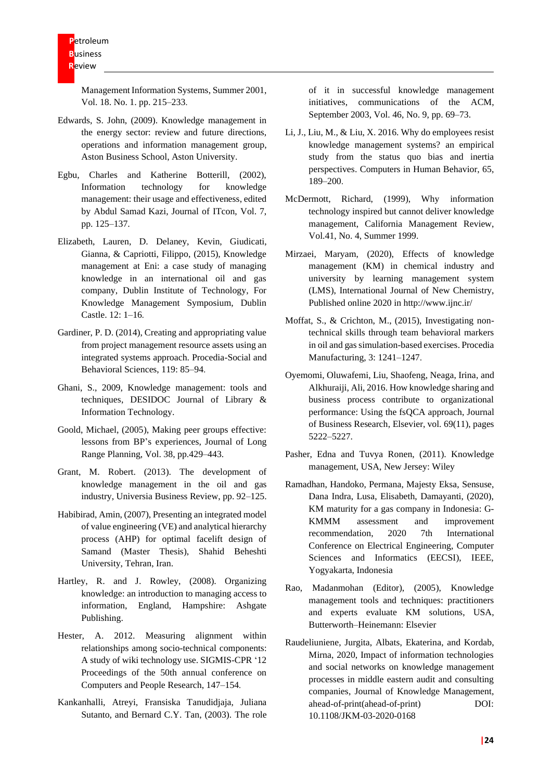Management Information Systems, Summer 2001, Vol. 18. No. 1. pp. 215–233.

- Edwards, S. John, (2009). Knowledge management in the energy sector: review and future directions, operations and information management group, Aston Business School, Aston University.
- Egbu, Charles and Katherine Botterill, (2002), Information technology for knowledge management: their usage and effectiveness, edited by Abdul Samad Kazi, Journal of ITcon, Vol. 7, pp. 125–137.
- Elizabeth, Lauren, D. Delaney, Kevin, Giudicati, Gianna, & Capriotti, Filippo, (2015), Knowledge management at Eni: a case study of managing knowledge in an international oil and gas company, Dublin Institute of Technology, For Knowledge Management Symposium, Dublin Castle. 12: 1-16.
- Gardiner, P. D. (2014), Creating and appropriating value from project management resource assets using an integrated systems approach. Procedia-Social and Behavioral Sciences, 119: 85–94.
- Ghani, S., 2009, Knowledge management: tools and techniques, DESIDOC Journal of Library & Information Technology.
- Goold, Michael, (2005), Making peer groups effective: lessons from BP's experiences, Journal of Long Range Planning, Vol. 38, pp.429–443.
- Grant, M. Robert. (2013). The development of knowledge management in the oil and gas industry, Universia Business Review, pp. 92–125.
- Habibirad, Amin, (2007), Presenting an integrated model of value engineering (VE) and analytical hierarchy process (AHP) for optimal facelift design of Samand (Master Thesis), Shahid Beheshti University, Tehran, Iran.
- Hartley, R. and J. Rowley, (2008). Organizing knowledge: an introduction to managing access to information, England, Hampshire: Ashgate Publishing.
- Hester, A. 2012. Measuring alignment within relationships among socio-technical components: A study of wiki technology use. SIGMIS-CPR '12 Proceedings of the 50th annual conference on Computers and People Research, 147–154 .
- Kankanhalli, Atreyi, Fransiska Tanudidjaja, Juliana Sutanto, and Bernard C.Y. Tan, (2003). The role

of it in successful knowledge management initiatives, communications of the ACM, September 2003, Vol. 46, No. 9, pp. 69–73.

- Li, J., Liu, M., & Liu, X. 2016. Why do employees resist knowledge management systems? an empirical study from the status quo bias and inertia perspectives. Computers in Human Behavior, 65, 189–200.
- McDermott, Richard, (1999), Why information technology inspired but cannot deliver knowledge management, California Management Review, Vol.41, No. 4, Summer 1999.
- Mirzaei, Maryam, (2020), Effects of knowledge management (KM) in chemical industry and university by learning management system (LMS), International Journal of New Chemistry, Published online 2020 in http://www.ijnc.ir/
- Moffat, S., & Crichton, M., (2015), Investigating nontechnical skills through team behavioral markers in oil and gas simulation-based exercises. Procedia Manufacturing, 3: 1241–1247.
- Oyemomi, Oluwafemi, Liu, Shaofeng, Neaga, Irina, and Alkhuraiji, Ali, 2016. How knowledge sharing and business process contribute to organizational performance: Using the fsQCA approach, [Journal](https://ideas.repec.org/s/eee/jbrese.html)  [of Business Research,](https://ideas.repec.org/s/eee/jbrese.html) Elsevier, vol. 69(11), pages 5222–5227.
- Pasher, Edna and Tuvya Ronen, (2011). Knowledge management, USA, New Jersey: Wiley
- Ramadhan[, Handoko,](https://ieeexplore.ieee.org/author/37088554404) Permana, [Majesty Eksa, Sensuse,](https://ieeexplore.ieee.org/author/37088555069)  [Dana Indra, Lusa, E](https://ieeexplore.ieee.org/author/38230468800)lisabeth, [Damayanti,](https://ieeexplore.ieee.org/author/37087123102) (2020), KM maturity for a gas company in Indonesia: G-KMMM assessment and improvement recommendation, 2020 7th International Conference on Electrical Engineering, Computer Sciences and Informatics (EECSI), IEEE, Yogyakarta, Indonesia
- Rao, Madanmohan (Editor), (2005), Knowledge management tools and techniques: practitioners and experts evaluate KM solutions, USA, Butterworth–Heinemann: Elsevier
- Raudeliuniene, Jurgita, Albats, Ekaterina, and Kordab, Mirna, 2020, Impact of information technologies and social networks on knowledge management processes in middle eastern audit and consulting companies, Journal of Knowledge Management, ahead-of-print(ahead-of-print) DOI: [10.1108/JKM-03-2020-0168](https://www.researchgate.net/deref/http%3A%2F%2Fdx.doi.org%2F10.1108%2FJKM-03-2020-0168)